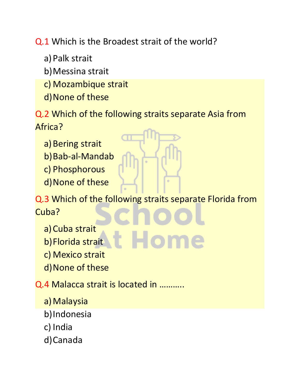Q.1 Which is the Broadest strait of the world?

a) Palk strait

b)Messina strait

- c) Mozambique strait
- d)None of these

Q.2 Which of the following straits separate Asia from Africa?

- a) Bering strait
- b)Bab-al-Mandab
- c) Phosphorous
- d)None of these

Q.3 Which of the following straits separate Florida from Cuba?

- a) Cuba strait
- b)Florida strait
- c) Mexico strait
- d)None of these

Q.4 Malacca strait is located in ………..

- a) Malaysia
- b)Indonesia
- c) India
- d)Canada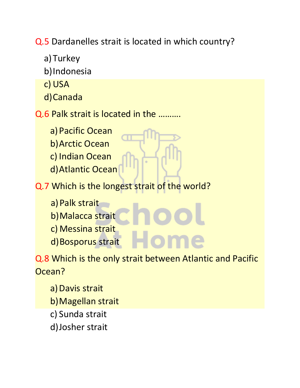Q.5 Dardanelles strait is located in which country?

a)Turkey b)Indonesia c) USA d)Canada Q.6 Palk strait is located in the ………. a)Pacific Ocean b)Arctic Ocean c) Indian Ocean d)Atlantic Ocean Q.7 Which is the longest strait of the world? a) Palk strait b)Malacca strait c) Messina strait d) Bosporus strait

Q.8 Which is the only strait between Atlantic and Pacific Ocean?

- a) Davis strait
- b)Magellan strait
- c) Sunda strait
- d)Josher strait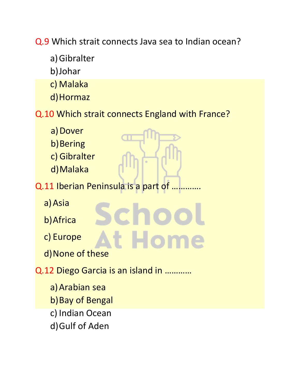Q.9 Which strait connects Java sea to Indian ocean?

- a)Gibralter
- b)Johar
- c) Malaka
- d)Hormaz
- Q.10 Which strait connects England with France?

t Hom

- a) Dover
- b) Bering
- c) Gibralter
- d)Malaka
- Q.11 Iberian Peninsula is a part of ..
	- a)Asia
	- b)Africa
	- c) Europe
	- d)None of these
- Q.12 Diego Garcia is an island in …………
	- a)Arabian sea b) Bay of Bengal c) Indian Ocean d)Gulf of Aden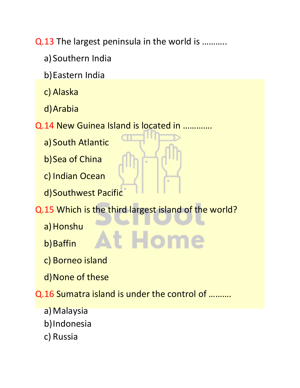Q.13 The largest peninsula in the world is ………..

- a) Southern India
- b)Eastern India
- c) Alaska
- d)Arabia
- Q.14 New Guinea Island is located in ………….
	- a) South Atlantic
	- b) Sea of China
	- c) Indian Ocean
	- d)Southwest Pacific
- Q.15 Which is the third largest island of the world?

t Hom

- a) Honshu
- b) Baffin
- c) Borneo island
- d)None of these

## Q.16 Sumatra island is under the control of ……….

- a) Malaysia
- b)Indonesia
- c) Russia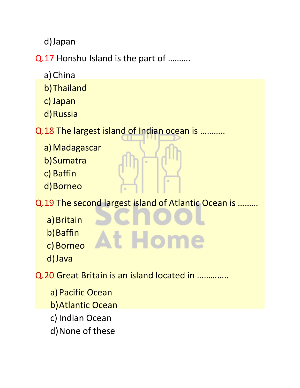d)Japan

Q.17 Honshu Island is the part of ……….

- a) China
- b)Thailand
- c) Japan
- d)Russia

Q.18 The largest island of Indian ocean is ………..

- a) Madagascar
- b)Sumatra
- c) Baffin
- d)Borneo

Q.19 The second largest island of Atlantic Ocean is ………

- a) Britain
- b) Baffin
- c) Borneo
- d)Java
- Q.20 Great Britain is an island located in …………..
	- a) Pacific Ocean
	- b)Atlantic Ocean
	- c) Indian Ocean
	- d)None of these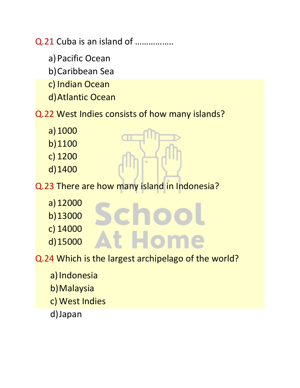Q.21 Cuba is an island of ……………..

- a) Pacific Ocean
- b)Caribbean Sea
- c) Indian Ocean
- d)Atlantic Ocean

## Q.22 West Indies consists of how many islands?

- a)1000
- b)1100
- c) 1200
- d)1400

Q.23 There are how many island in Indonesia?

- a)12000
- b)13000
- c) 14000
- d)15000

Q.24 Which is the largest archipelago of the world?

t Hom

- a) Indonesia
- b)Malaysia
- c) West Indies
- d)Japan